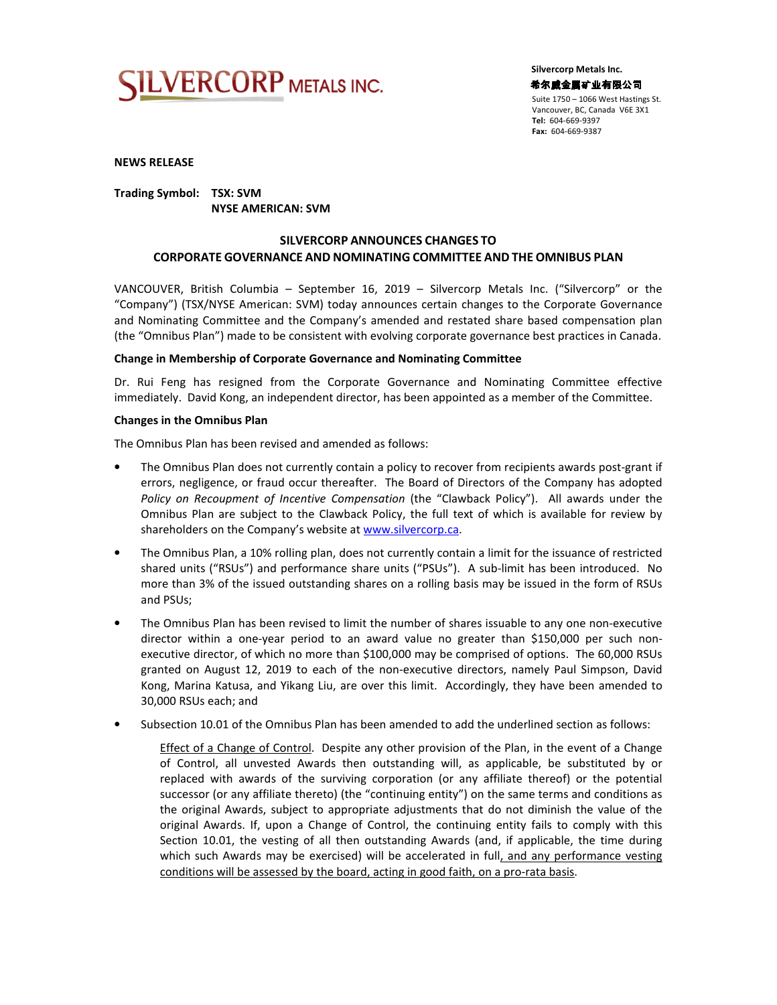

 **Silvercorp Metals Inc.** 希尔威金属矿业有限公司 Suite 1750 – 1066 West Hastings St. Vancouver, BC, Canada V6E 3X1  **Tel:** 604-669-9397  **Fax:** 604-669-9387

**NEWS RELEASE** 

# **Trading Symbol: TSX: SVM NYSE AMERICAN: SVM**

# **SILVERCORP ANNOUNCES CHANGES TO CORPORATE GOVERNANCE AND NOMINATING COMMITTEE AND THE OMNIBUS PLAN**

VANCOUVER, British Columbia – September 16, 2019 – Silvercorp Metals Inc. ("Silvercorp" or the "Company") (TSX/NYSE American: SVM) today announces certain changes to the Corporate Governance and Nominating Committee and the Company's amended and restated share based compensation plan (the "Omnibus Plan") made to be consistent with evolving corporate governance best practices in Canada.

### **Change in Membership of Corporate Governance and Nominating Committee**

Dr. Rui Feng has resigned from the Corporate Governance and Nominating Committee effective immediately. David Kong, an independent director, has been appointed as a member of the Committee.

### **Changes in the Omnibus Plan**

The Omnibus Plan has been revised and amended as follows:

- The Omnibus Plan does not currently contain a policy to recover from recipients awards post-grant if errors, negligence, or fraud occur thereafter. The Board of Directors of the Company has adopted *Policy on Recoupment of Incentive Compensation* (the "Clawback Policy"). All awards under the Omnibus Plan are subject to the Clawback Policy, the full text of which is available for review by shareholders on the Company's website at www.silvercorp.ca.
- The Omnibus Plan, a 10% rolling plan, does not currently contain a limit for the issuance of restricted shared units ("RSUs") and performance share units ("PSUs"). A sub-limit has been introduced. No more than 3% of the issued outstanding shares on a rolling basis may be issued in the form of RSUs and PSUs;
- The Omnibus Plan has been revised to limit the number of shares issuable to any one non-executive director within a one-year period to an award value no greater than \$150,000 per such nonexecutive director, of which no more than \$100,000 may be comprised of options. The 60,000 RSUs granted on August 12, 2019 to each of the non-executive directors, namely Paul Simpson, David Kong, Marina Katusa, and Yikang Liu, are over this limit. Accordingly, they have been amended to 30,000 RSUs each; and
- Subsection 10.01 of the Omnibus Plan has been amended to add the underlined section as follows:
	- Effect of a Change of Control. Despite any other provision of the Plan, in the event of a Change of Control, all unvested Awards then outstanding will, as applicable, be substituted by or replaced with awards of the surviving corporation (or any affiliate thereof) or the potential successor (or any affiliate thereto) (the "continuing entity") on the same terms and conditions as the original Awards, subject to appropriate adjustments that do not diminish the value of the original Awards. If, upon a Change of Control, the continuing entity fails to comply with this Section 10.01, the vesting of all then outstanding Awards (and, if applicable, the time during which such Awards may be exercised) will be accelerated in full, and any performance vesting conditions will be assessed by the board, acting in good faith, on a pro-rata basis.